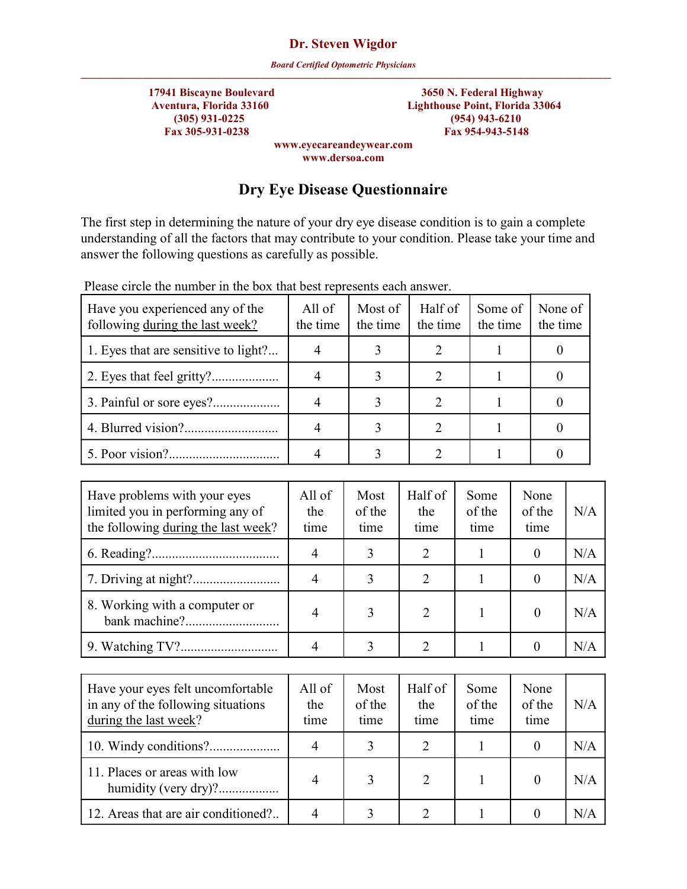*Board Certified Optometric Physicians*

))))))))))))))))))))))))))))))))))))))))))))))))))))))))))))))))))))  **17941 Biscayne Boulevard 3650 N. Federal Highway Aventura, Florida 33160 Lighthouse Point, Florida 33064 (305) 931-0225 (954) 943-6210 Fax 305-931-0238 Fax 954-943-5148**

**www.eyecareandeywear.com www.dersoa.com**

## **Dry Eye Disease Questionnaire**

The first step in determining the nature of your dry eye disease condition is to gain a complete understanding of all the factors that may contribute to your condition. Please take your time and answer the following questions as carefully as possible.

| Have you experienced any of the<br>following during the last week? | All of<br>the time | Most of<br>the time | Half of<br>the time | Some of<br>the time | None of<br>the time |
|--------------------------------------------------------------------|--------------------|---------------------|---------------------|---------------------|---------------------|
| 1. Eyes that are sensitive to light?                               |                    |                     |                     |                     |                     |
|                                                                    |                    |                     |                     |                     |                     |
|                                                                    |                    |                     |                     |                     |                     |
|                                                                    |                    |                     | ာ                   |                     |                     |
|                                                                    |                    |                     |                     |                     |                     |

Please circle the number in the box that best represents each answer.

| Have problems with your eyes<br>limited you in performing any of<br>the following during the last week? | All of<br>the<br>time | Most<br>of the<br>time | Half of<br>the<br>time      | Some<br>of the<br>time | None<br>of the<br>time | N/A |
|---------------------------------------------------------------------------------------------------------|-----------------------|------------------------|-----------------------------|------------------------|------------------------|-----|
|                                                                                                         |                       |                        |                             |                        |                        | N/A |
|                                                                                                         |                       |                        | 2                           |                        |                        | N/A |
| 8. Working with a computer or                                                                           |                       |                        | $\mathcal{D}_{\mathcal{L}}$ |                        |                        | N/A |
|                                                                                                         |                       |                        |                             |                        |                        | N/A |

| Have your eyes felt uncomfortable<br>in any of the following situations<br>during the last week? | All of<br>the<br>time | Most<br>of the<br>time | Half of<br>the<br>time | Some<br>of the<br>time | None<br>of the<br>time | N/A |
|--------------------------------------------------------------------------------------------------|-----------------------|------------------------|------------------------|------------------------|------------------------|-----|
|                                                                                                  |                       |                        |                        |                        |                        | N/A |
| 11. Places or areas with low<br>humidity (very dry)?                                             |                       |                        | 2                      |                        |                        | N/A |
| 12. Areas that are air conditioned?                                                              |                       |                        |                        |                        |                        | N/A |